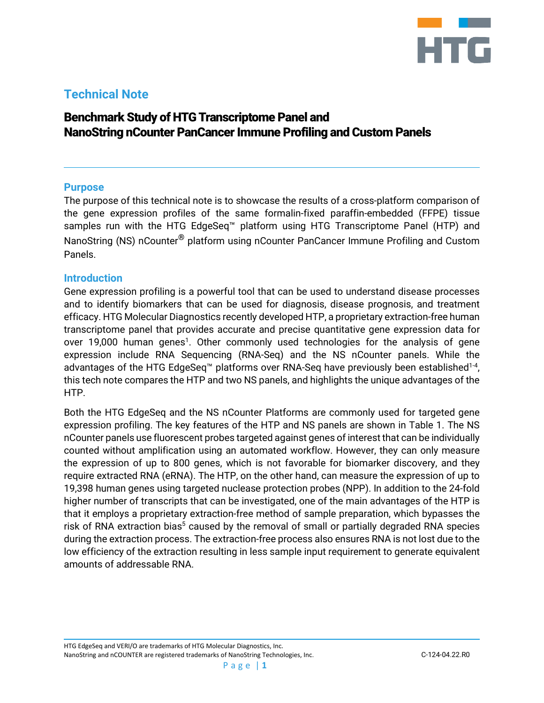

# **Technical Note**

# Benchmark Study of HTG Transcriptome Panel and NanoString nCounter PanCancer Immune Profiling and Custom Panels

#### **Purpose**

The purpose of this technical note is to showcase the results of a cross-platform comparison of the gene expression profiles of the same formalin-fixed paraffin-embedded (FFPE) tissue samples run with the HTG EdgeSeq<sup>™</sup> platform using HTG Transcriptome Panel (HTP) and NanoString (NS) nCounter**®** platform using nCounter PanCancer Immune Profiling and Custom Panels.

#### **Introduction**

Gene expression profiling is a powerful tool that can be used to understand disease processes and to identify biomarkers that can be used for diagnosis, disease prognosis, and treatment efficacy. HTG Molecular Diagnostics recently developed HTP, a proprietary extraction-free human transcriptome panel that provides accurate and precise quantitative gene expression data for over 19,000 human genes<sup>1</sup>. Other commonly used technologies for the analysis of gene expression include RNA Sequencing (RNA-Seq) and the NS nCounter panels. While the advantages of the HTG EdgeSeq™ platforms over RNA-Seq have previously been established<sup>1-4</sup>, this tech note compares the HTP and two NS panels, and highlights the unique advantages of the HTP.

Both the HTG EdgeSeq and the NS nCounter Platforms are commonly used for targeted gene expression profiling. The key features of the HTP and NS panels are shown in Table 1. The NS nCounter panels use fluorescent probes targeted against genes of interest that can be individually counted without amplification using an automated workflow. However, they can only measure the expression of up to 800 genes, which is not favorable for biomarker discovery, and they require extracted RNA (eRNA). The HTP, on the other hand, can measure the expression of up to 19,398 human genes using targeted nuclease protection probes (NPP). In addition to the 24-fold higher number of transcripts that can be investigated, one of the main advantages of the HTP is that it employs a proprietary extraction-free method of sample preparation, which bypasses the risk of RNA extraction bias<sup>5</sup> caused by the removal of small or partially degraded RNA species during the extraction process. The extraction-free process also ensures RNA is not lost due to the low efficiency of the extraction resulting in less sample input requirement to generate equivalent amounts of addressable RNA.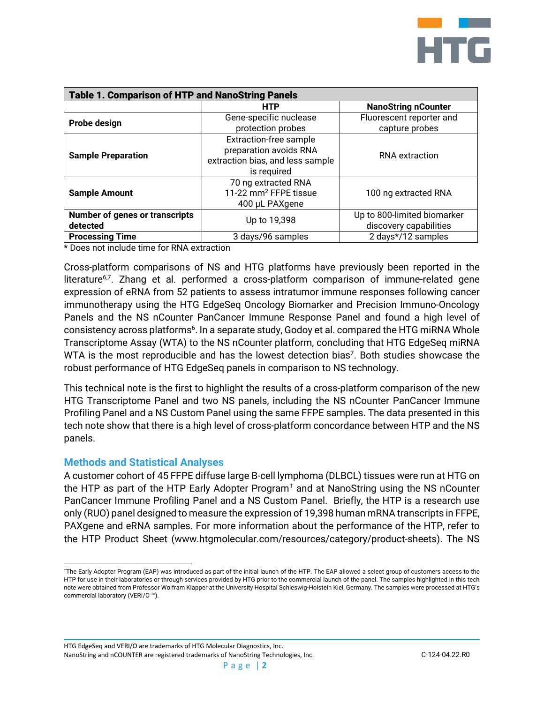

| <b>Table 1. Comparison of HTP and NanoString Panels</b> |                                                                                                            |                                                       |  |
|---------------------------------------------------------|------------------------------------------------------------------------------------------------------------|-------------------------------------------------------|--|
|                                                         | HTP                                                                                                        | <b>NanoString nCounter</b>                            |  |
| Probe design                                            | Gene-specific nuclease<br>protection probes                                                                | Fluorescent reporter and<br>capture probes            |  |
| <b>Sample Preparation</b>                               | <b>Extraction-free sample</b><br>preparation avoids RNA<br>extraction bias, and less sample<br>is required | <b>RNA</b> extraction                                 |  |
| <b>Sample Amount</b>                                    | 70 ng extracted RNA<br>11-22 mm <sup>2</sup> FFPE tissue<br>400 µL PAXgene                                 | 100 ng extracted RNA                                  |  |
| <b>Number of genes or transcripts</b><br>detected       | Up to 19,398                                                                                               | Up to 800-limited biomarker<br>discovery capabilities |  |
| <b>Processing Time</b>                                  | 3 days/96 samples                                                                                          | 2 days*/12 samples                                    |  |

\* Does not include time for RNA extraction

Cross-platform comparisons of NS and HTG platforms have previously been reported in the literature<sup>6,7</sup>. Zhang et al. performed a cross-platform comparison of immune-related gene expression of eRNA from 52 patients to assess intratumor immune responses following cancer immunotherapy using the HTG EdgeSeq Oncology Biomarker and Precision Immuno-Oncology Panels and the NS nCounter PanCancer Immune Response Panel and found a high level of consistency across platforms<sup>6</sup>. In a separate study, Godoy et al. compared the HTG miRNA Whole Transcriptome Assay (WTA) to the NS nCounter platform, concluding that HTG EdgeSeq miRNA WTA is the most reproducible and has the lowest detection bias<sup>7</sup>. Both studies showcase the robust performance of HTG EdgeSeq panels in comparison to NS technology.

This technical note is the first to highlight the results of a cross-platform comparison of the new HTG Transcriptome Panel and two NS panels, including the NS nCounter PanCancer Immune Profiling Panel and a NS Custom Panel using the same FFPE samples. The data presented in this tech note show that there is a high level of cross-platform concordance between HTP and the NS panels.

#### **Methods and Statistical Analyses**

A customer cohort of 45 FFPE diffuse large B-cell lymphoma (DLBCL) tissues were run at HTG on the HTP as part of the HTP Early Adopter Program[†](#page-1-0) and at NanoString using the NS nCounter PanCancer Immune Profiling Panel and a NS Custom Panel. Briefly, the HTP is a research use only (RUO) panel designed to measure the expression of 19,398 human mRNA transcripts in FFPE, PAXgene and eRNA samples. For more information about the performance of the HTP, refer to the HTP Product Sheet (www.htgmolecular.com/resources/category/product-sheets). The NS

<span id="page-1-0"></span><sup>†</sup>The Early Adopter Program (EAP) was introduced as part of the initial launch of the HTP. The EAP allowed a select group of customers access to the HTP for use in their laboratories or through services provided by HTG prior to the commercial launch of the panel. The samples highlighted in this tech note were obtained from Professor Wolfram Klapper at the University Hospital Schleswig-Holstein Kiel, Germany. The samples were processed at HTG's commercial laboratory (VERI/O ™).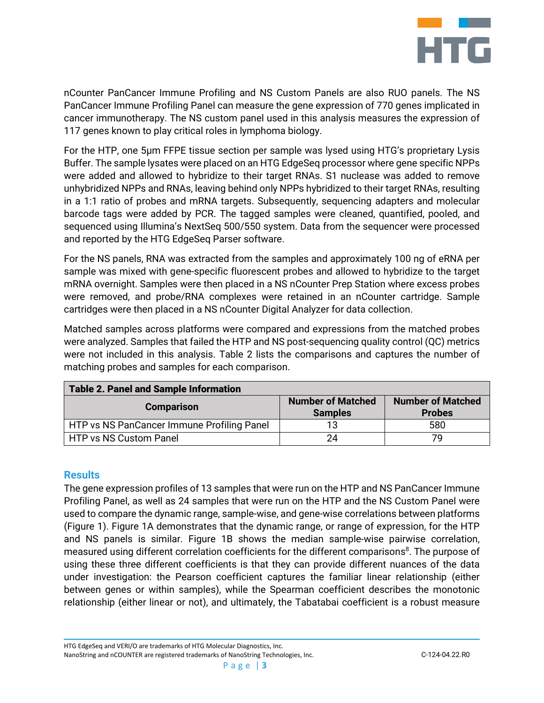

nCounter PanCancer Immune Profiling and NS Custom Panels are also RUO panels. The NS PanCancer Immune Profiling Panel can measure the gene expression of 770 genes implicated in cancer immunotherapy. The NS custom panel used in this analysis measures the expression of 117 genes known to play critical roles in lymphoma biology.

For the HTP, one 5µm FFPE tissue section per sample was lysed using HTG's proprietary Lysis Buffer. The sample lysates were placed on an HTG EdgeSeq processor where gene specific NPPs were added and allowed to hybridize to their target RNAs. S1 nuclease was added to remove unhybridized NPPs and RNAs, leaving behind only NPPs hybridized to their target RNAs, resulting in a 1:1 ratio of probes and mRNA targets. Subsequently, sequencing adapters and molecular barcode tags were added by PCR. The tagged samples were cleaned, quantified, pooled, and sequenced using Illumina's NextSeq 500/550 system. Data from the sequencer were processed and reported by the HTG EdgeSeq Parser software.

For the NS panels, RNA was extracted from the samples and approximately 100 ng of eRNA per sample was mixed with gene-specific fluorescent probes and allowed to hybridize to the target mRNA overnight. Samples were then placed in a NS nCounter Prep Station where excess probes were removed, and probe/RNA complexes were retained in an nCounter cartridge. Sample cartridges were then placed in a NS nCounter Digital Analyzer for data collection.

Matched samples across platforms were compared and expressions from the matched probes were analyzed. Samples that failed the HTP and NS post-sequencing quality control (QC) metrics were not included in this analysis. Table 2 lists the comparisons and captures the number of matching probes and samples for each comparison.

| <b>Table 2. Panel and Sample Information</b> |                                            |                                           |  |
|----------------------------------------------|--------------------------------------------|-------------------------------------------|--|
| <b>Comparison</b>                            | <b>Number of Matched</b><br><b>Samples</b> | <b>Number of Matched</b><br><b>Probes</b> |  |
| HTP vs NS PanCancer Immune Profiling Panel   | 13                                         | 580                                       |  |
| HTP vs NS Custom Panel                       | 24                                         | 79                                        |  |

## **Results**

The gene expression profiles of 13 samples that were run on the HTP and NS PanCancer Immune Profiling Panel, as well as 24 samples that were run on the HTP and the NS Custom Panel were used to compare the dynamic range, sample-wise, and gene-wise correlations between platforms (Figure 1). Figure 1A demonstrates that the dynamic range, or range of expression, for the HTP and NS panels is similar. Figure 1B shows the median sample-wise pairwise correlation, measured using different correlation coefficients for the different comparisons<sup>8</sup>. The purpose of using these three different coefficients is that they can provide different nuances of the data under investigation: the Pearson coefficient captures the familiar linear relationship (either between genes or within samples), while the Spearman coefficient describes the monotonic relationship (either linear or not), and ultimately, the Tabatabai coefficient is a robust measure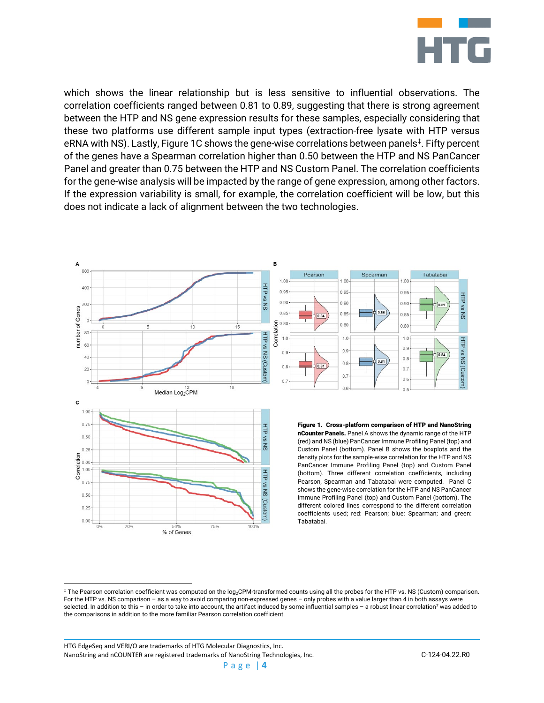

which shows the linear relationship but is less sensitive to influential observations. The correlation coefficients ranged between 0.81 to 0.89, suggesting that there is strong agreement between the HTP and NS gene expression results for these samples, especially considering that these two platforms use different sample input types (extraction-free lysate with HTP versus eRNA with NS). Lastly, Figure 1C shows the gene-wise correlations between panel[s‡](#page-3-0) . Fifty percent of the genes have a Spearman correlation higher than 0.50 between the HTP and NS PanCancer Panel and greater than 0.75 between the HTP and NS Custom Panel. The correlation coefficients for the gene-wise analysis will be impacted by the range of gene expression, among other factors. If the expression variability is small, for example, the correlation coefficient will be low, but this does not indicate a lack of alignment between the two technologies.



Page | **4**

<span id="page-3-0"></span><sup>‡</sup> The Pearson correlation coefficient was computed on the log2CPM-transformed counts using all the probes for the HTP vs. NS (Custom) comparison. For the HTP vs. NS comparison – as a way to avoid comparing non-expressed genes – only probes with a value larger than 4 in both assays were selected. In addition to this – in order to take into account, the artifact induced by some influential samples – a robust linear correlation<sup>7</sup> was added to the comparisons in addition to the more familiar Pearson correlation coefficient.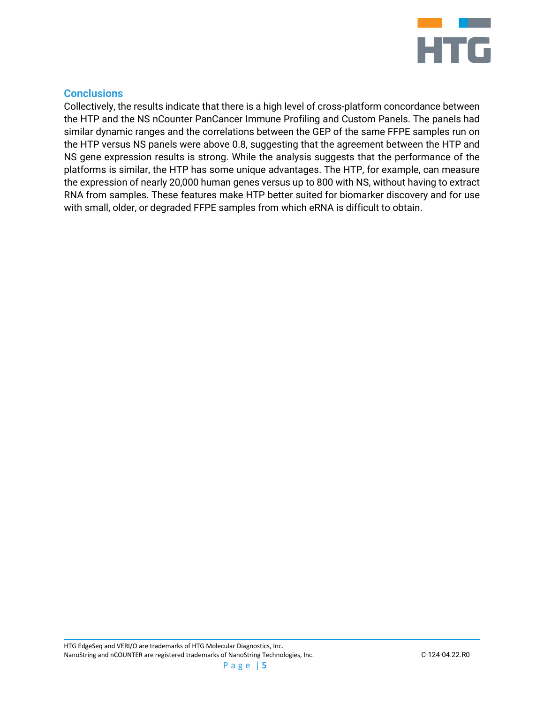

### **Conclusions**

Collectively, the results indicate that there is a high level of cross-platform concordance between the HTP and the NS nCounter PanCancer Immune Profiling and Custom Panels. The panels had similar dynamic ranges and the correlations between the GEP of the same FFPE samples run on the HTP versus NS panels were above 0.8, suggesting that the agreement between the HTP and NS gene expression results is strong. While the analysis suggests that the performance of the platforms is similar, the HTP has some unique advantages. The HTP, for example, can measure the expression of nearly 20,000 human genes versus up to 800 with NS, without having to extract RNA from samples. These features make HTP better suited for biomarker discovery and for use with small, older, or degraded FFPE samples from which eRNA is difficult to obtain.